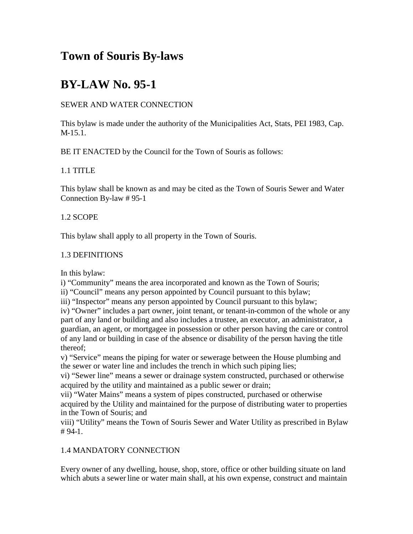# **Town of Souris By-laws**

# **BY-LAW No. 95-1**

### SEWER AND WATER CONNECTION

This bylaw is made under the authority of the Municipalities Act, Stats, PEI 1983, Cap. M-15.1.

BE IT ENACTED by the Council for the Town of Souris as follows:

### 1.1 TITLE

This bylaw shall be known as and may be cited as the Town of Souris Sewer and Water Connection By-law # 95-1

## 1.2 SCOPE

This bylaw shall apply to all property in the Town of Souris.

## 1.3 DEFINITIONS

In this bylaw:

i) "Community" means the area incorporated and known as the Town of Souris;

ii) "Council" means any person appointed by Council pursuant to this bylaw;

iii) "Inspector" means any person appointed by Council pursuant to this bylaw;

iv) "Owner" includes a part owner, joint tenant, or tenant-in-common of the whole or any part of any land or building and also includes a trustee, an executor, an administrator, a guardian, an agent, or mortgagee in possession or other person having the care or control of any land or building in case of the absence or disability of the person having the title thereof;

v) "Service" means the piping for water or sewerage between the House plumbing and the sewer or water line and includes the trench in which such piping lies;

vi) "Sewer line" means a sewer or drainage system constructed, purchased or otherwise acquired by the utility and maintained as a public sewer or drain;

vii) "Water Mains" means a system of pipes constructed, purchased or otherwise acquired by the Utility and maintained for the purpose of distributing water to properties in the Town of Souris; and

viii) "Utility" means the Town of Souris Sewer and Water Utility as prescribed in Bylaw # 94-1.

## 1.4 MANDATORY CONNECTION

Every owner of any dwelling, house, shop, store, office or other building situate on land which abuts a sewer line or water main shall, at his own expense, construct and maintain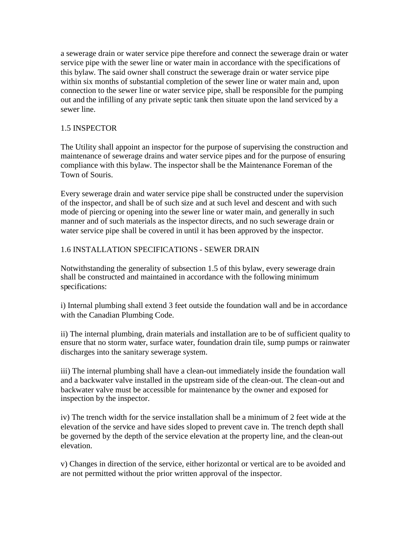a sewerage drain or water service pipe therefore and connect the sewerage drain or water service pipe with the sewer line or water main in accordance with the specifications of this bylaw. The said owner shall construct the sewerage drain or water service pipe within six months of substantial completion of the sewer line or water main and, upon connection to the sewer line or water service pipe, shall be responsible for the pumping out and the infilling of any private septic tank then situate upon the land serviced by a sewer line.

#### 1.5 INSPECTOR

The Utility shall appoint an inspector for the purpose of supervising the construction and maintenance of sewerage drains and water service pipes and for the purpose of ensuring compliance with this bylaw. The inspector shall be the Maintenance Foreman of the Town of Souris.

Every sewerage drain and water service pipe shall be constructed under the supervision of the inspector, and shall be of such size and at such level and descent and with such mode of piercing or opening into the sewer line or water main, and generally in such manner and of such materials as the inspector directs, and no such sewerage drain or water service pipe shall be covered in until it has been approved by the inspector.

#### 1.6 INSTALLATION SPECIFICATIONS - SEWER DRAIN

Notwithstanding the generality of subsection 1.5 of this bylaw, every sewerage drain shall be constructed and maintained in accordance with the following minimum specifications:

i) Internal plumbing shall extend 3 feet outside the foundation wall and be in accordance with the Canadian Plumbing Code.

ii) The internal plumbing, drain materials and installation are to be of sufficient quality to ensure that no storm water, surface water, foundation drain tile, sump pumps or rainwater discharges into the sanitary sewerage system.

iii) The internal plumbing shall have a clean-out immediately inside the foundation wall and a backwater valve installed in the upstream side of the clean-out. The clean-out and backwater valve must be accessible for maintenance by the owner and exposed for inspection by the inspector.

iv) The trench width for the service installation shall be a minimum of 2 feet wide at the elevation of the service and have sides sloped to prevent cave in. The trench depth shall be governed by the depth of the service elevation at the property line, and the clean-out elevation.

v) Changes in direction of the service, either horizontal or vertical are to be avoided and are not permitted without the prior written approval of the inspector.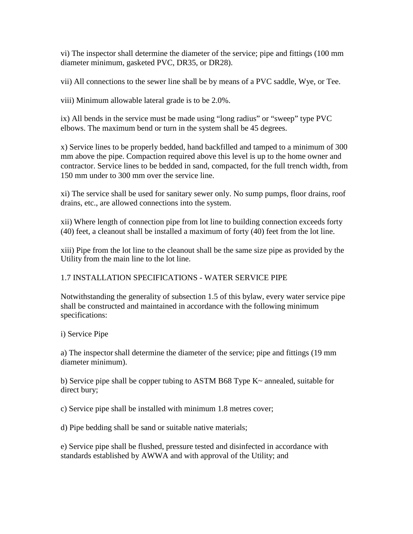vi) The inspector shall determine the diameter of the service; pipe and fittings (100 mm diameter minimum, gasketed PVC, DR35, or DR28).

vii) All connections to the sewer line shall be by means of a PVC saddle, Wye, or Tee.

viii) Minimum allowable lateral grade is to be 2.0%.

ix) All bends in the service must be made using "long radius" or "sweep" type PVC elbows. The maximum bend or turn in the system shall be 45 degrees.

x) Service lines to be properly bedded, hand backfilled and tamped to a minimum of 300 mm above the pipe. Compaction required above this level is up to the home owner and contractor. Service lines to be bedded in sand, compacted, for the full trench width, from 150 mm under to 300 mm over the service line.

xi) The service shall be used for sanitary sewer only. No sump pumps, floor drains, roof drains, etc., are allowed connections into the system.

xii) Where length of connection pipe from lot line to building connection exceeds forty (40) feet, a cleanout shall be installed a maximum of forty (40) feet from the lot line.

xiii) Pipe from the lot line to the cleanout shall be the same size pipe as provided by the Utility from the main line to the lot line.

### 1.7 INSTALLATION SPECIFICATIONS - WATER SERVICE PIPE

Notwithstanding the generality of subsection 1.5 of this bylaw, every water service pipe shall be constructed and maintained in accordance with the following minimum specifications:

i) Service Pipe

a) The inspectorshall determine the diameter of the service; pipe and fittings (19 mm diameter minimum).

b) Service pipe shall be copper tubing to ASTM B68 Type  $K<sub>o</sub>$  annealed, suitable for direct bury;

c) Service pipe shall be installed with minimum 1.8 metres cover;

d) Pipe bedding shall be sand or suitable native materials;

e) Service pipe shall be flushed, pressure tested and disinfected in accordance with standards established by AWWA and with approval of the Utility; and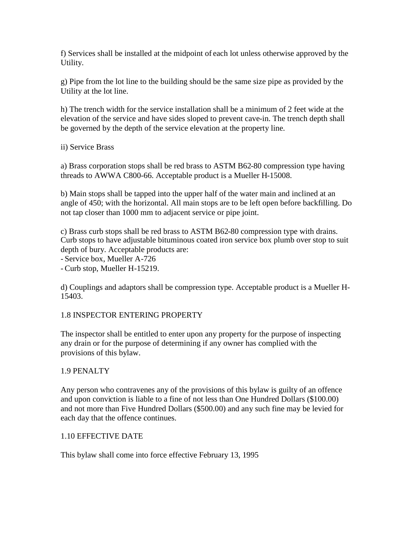f) Services shall be installed at the midpoint of each lot unless otherwise approved by the Utility.

g) Pipe from the lot line to the building should be the same size pipe as provided by the Utility at the lot line.

h) The trench width for the service installation shall be a minimum of 2 feet wide at the elevation of the service and have sides sloped to prevent cave-in. The trench depth shall be governed by the depth of the service elevation at the property line.

ii) Service Brass

a) Brass corporation stops shall be red brass to ASTM B62-80 compression type having threads to AWWA C800-66. Acceptable product is a Mueller H-15008.

b) Main stops shall be tapped into the upper half of the water main and inclined at an angle of 450; with the horizontal. All main stops are to be left open before backfilling. Do not tap closer than 1000 mm to adjacent service or pipe joint.

c) Brass curb stops shall be red brass to ASTM B62-80 compression type with drains. Curb stops to have adjustable bituminous coated iron service box plumb over stop to suit depth of bury. Acceptable products are:

- Service box, Mueller A-726

- Curb stop, Mueller H-15219.

d) Couplings and adaptors shall be compression type. Acceptable product is a Mueller H-15403.

### 1.8 INSPECTOR ENTERING PROPERTY

The inspector shall be entitled to enter upon any property for the purpose of inspecting any drain or for the purpose of determining if any owner has complied with the provisions of this bylaw.

#### 1.9 PENALTY

Any person who contravenes any of the provisions of this bylaw is guilty of an offence and upon conviction is liable to a fine of not less than One Hundred Dollars (\$100.00) and not more than Five Hundred Dollars (\$500.00) and any such fine may be levied for each day that the offence continues.

#### 1.10 EFFECTIVE DATE

This bylaw shall come into force effective February 13, 1995